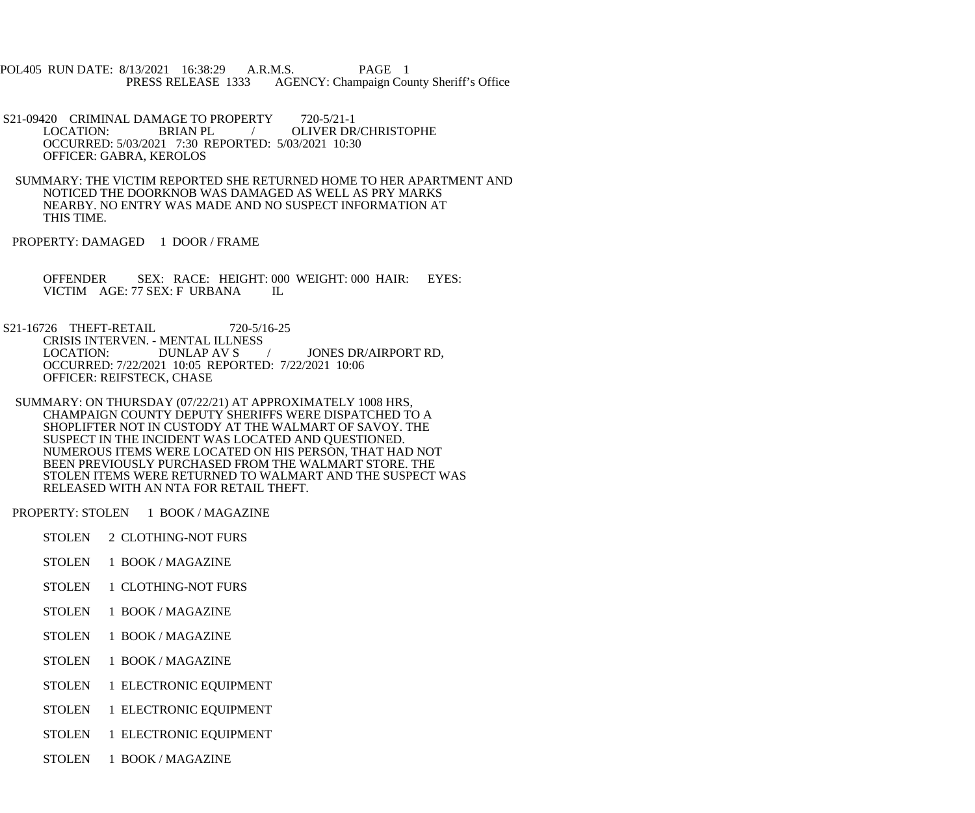POL405 RUN DATE: 8/13/2021 16:38:29 A.R.M.S. PAGE 1<br>PRESS RELEASE 1333 AGENCY: Champaign Cou AGENCY: Champaign County Sheriff's Office

- S21-09420 CRIMINAL DAMAGE TO PROPERTY 720-5/21-1<br>LOCATION: BRIAN PL / OLIVER DR OLIVER DR/CHRISTOPHE OCCURRED: 5/03/2021 7:30 REPORTED: 5/03/2021 10:30 OFFICER: GABRA, KEROLOS
- SUMMARY: THE VICTIM REPORTED SHE RETURNED HOME TO HER APARTMENT AND NOTICED THE DOORKNOB WAS DAMAGED AS WELL AS PRY MARKS NEARBY. NO ENTRY WAS MADE AND NO SUSPECT INFORMATION AT THIS TIME.
- PROPERTY: DAMAGED 1 DOOR / FRAME
	- OFFENDER SEX: RACE: HEIGHT: 000 WEIGHT: 000 HAIR: EYES: VICTIM AGE: 77 SEX: F URBANA IL
- S21-16726 THEFT-RETAIL 720-5/16-25 CRISIS INTERVEN. - MENTAL ILLNESS<br>LOCATION: DUNLAP AV S LOCATION: DUNLAP AV S / JONES DR/AIRPORT RD, OCCURRED: 7/22/2021 10:05 REPORTED: 7/22/2021 10:06 OFFICER: REIFSTECK, CHASE
- SUMMARY: ON THURSDAY (07/22/21) AT APPROXIMATELY 1008 HRS, CHAMPAIGN COUNTY DEPUTY SHERIFFS WERE DISPATCHED TO A SHOPLIFTER NOT IN CUSTODY AT THE WALMART OF SAVOY. THE SUSPECT IN THE INCIDENT WAS LOCATED AND QUESTIONED. NUMEROUS ITEMS WERE LOCATED ON HIS PERSON, THAT HAD NOT BEEN PREVIOUSLY PURCHASED FROM THE WALMART STORE. THE STOLEN ITEMS WERE RETURNED TO WALMART AND THE SUSPECT WAS RELEASED WITH AN NTA FOR RETAIL THEFT.
- PROPERTY: STOLEN 1 BOOK / MAGAZINE
	- STOLEN 2 CLOTHING-NOT FURS
	- STOLEN 1 BOOK / MAGAZINE
	- STOLEN 1 CLOTHING-NOT FURS
	- STOLEN 1 BOOK / MAGAZINE
	- STOLEN 1 BOOK / MAGAZINE
	- STOLEN 1 BOOK / MAGAZINE
	- STOLEN 1 ELECTRONIC EQUIPMENT
	- STOLEN 1 ELECTRONIC EQUIPMENT
	- STOLEN 1 ELECTRONIC EQUIPMENT
	- STOLEN 1 BOOK / MAGAZINE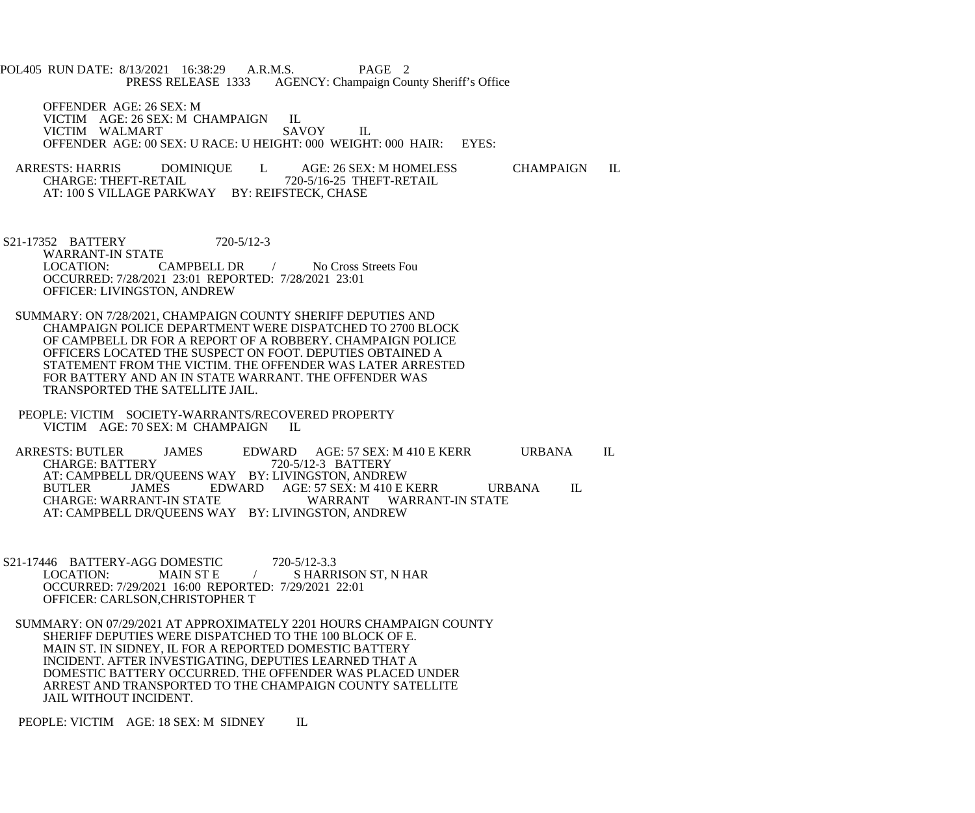POL405 RUN DATE: 8/13/2021 16:38:29 A.R.M.S. PAGE 2<br>PRESS RELEASE 1333 AGENCY: Champaign Cou AGENCY: Champaign County Sheriff's Office

 OFFENDER AGE: 26 SEX: M VICTIM AGE: 26 SEX: M CHAMPAIGN IL<br>VICTIM WALMART SAVOY VICTIM WALMART SAVOY IL OFFENDER AGE: 00 SEX: U RACE: U HEIGHT: 000 WEIGHT: 000 HAIR: EYES:

ARRESTS: HARRIS DOMINIQUE L AGE: 26 SEX: M HOMELESS CHAMPAIGN IL CHARGE: THEFT-RETAIL 720-5/16-25 THEFT-RETAIL CHARGE: THEFT-RETAIL 720-5/16-25 THEFT-RETAIL AT: 100 S VILLAGE PARKWAY BY: REIFSTECK, CHASE

 S21-17352 BATTERY 720-5/12-3 WARRANT-IN STATE<br>LOCATION: CAMPBELL DR / No Cross Streets Fou OCCURRED: 7/28/2021 23:01 REPORTED: 7/28/2021 23:01 OFFICER: LIVINGSTON, ANDREW

 SUMMARY: ON 7/28/2021, CHAMPAIGN COUNTY SHERIFF DEPUTIES AND CHAMPAIGN POLICE DEPARTMENT WERE DISPATCHED TO 2700 BLOCK OF CAMPBELL DR FOR A REPORT OF A ROBBERY. CHAMPAIGN POLICE OFFICERS LOCATED THE SUSPECT ON FOOT. DEPUTIES OBTAINED A STATEMENT FROM THE VICTIM. THE OFFENDER WAS LATER ARRESTED FOR BATTERY AND AN IN STATE WARRANT. THE OFFENDER WAS TRANSPORTED THE SATELLITE JAIL.

 PEOPLE: VICTIM SOCIETY-WARRANTS/RECOVERED PROPERTY VICTIM AGE: 70 SEX: M CHAMPAIGN IL

ARRESTS: BUTLER JAMES EDWARD AGE: 57 SEX: M 410 E KERR URBANA IL<br>CHARGE: BATTERY 720-5/12-3 BATTERY **CHARGE: BATTERY** AT: CAMPBELL DR/QUEENS WAY BY: LIVINGSTON, ANDREW<br>BUTLER JAMES EDWARD AGE: 57 SEX: M 410 E BUTLER JAMES EDWARD AGE: 57 SEX: M 410 E KERR URBANA IL CHARGE: WARRANT-IN STATE WARRANT WARRANT-IN STATE AT: CAMPBELL DR/QUEENS WAY BY: LIVINGSTON, ANDREW

S21-17446 BATTERY-AGG DOMESTIC 720-5/12-3.3<br>LOCATION: MAIN ST E / SHARR S HARRISON ST, N HAR OCCURRED: 7/29/2021 16:00 REPORTED: 7/29/2021 22:01 OFFICER: CARLSON,CHRISTOPHER T

 SUMMARY: ON 07/29/2021 AT APPROXIMATELY 2201 HOURS CHAMPAIGN COUNTY SHERIFF DEPUTIES WERE DISPATCHED TO THE 100 BLOCK OF E. MAIN ST. IN SIDNEY, IL FOR A REPORTED DOMESTIC BATTERY INCIDENT. AFTER INVESTIGATING, DEPUTIES LEARNED THAT A DOMESTIC BATTERY OCCURRED. THE OFFENDER WAS PLACED UNDER ARREST AND TRANSPORTED TO THE CHAMPAIGN COUNTY SATELLITE JAIL WITHOUT INCIDENT.

PEOPLE: VICTIM AGE: 18 SEX: M SIDNEY IL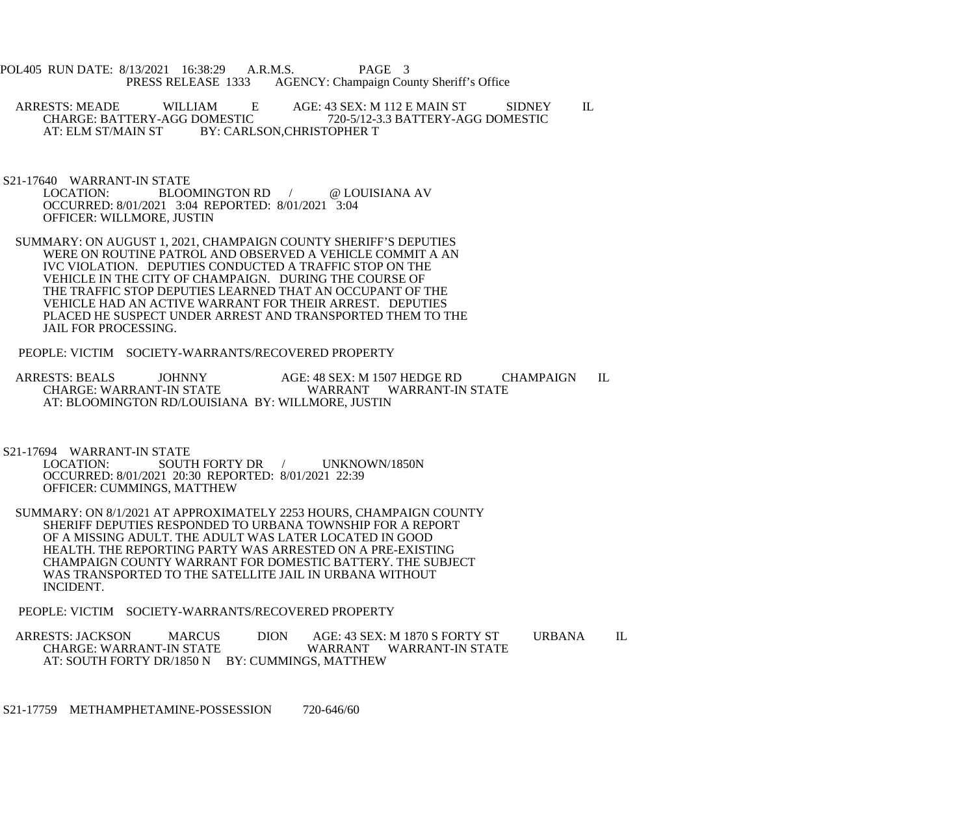POL405 RUN DATE: 8/13/2021 16:38:29 A.R.M.S. PAGE 3<br>PRESS RELEASE 1333 AGENCY: Champaign Cou AGENCY: Champaign County Sheriff's Office

ARRESTS: MEADE WILLIAM E AGE: 43 SEX: M 112 E MAIN ST SIDNEY IL CHARGE: BATTERY-AGG DOMESTIC 720-5/12-3.3 BATTERY-AGG DOMESTIC CHARGE: BATTERY-AGG DOMESTIC 720-5/12-3.3 BATTERY-AGG DOMESTIC<br>AT: ELM ST/MAIN ST BY: CARLSON.CHRISTOPHER T BY: CARLSON, CHRISTOPHER T

S21-17640 WARRANT-IN STATE

BLOOMINGTON RD / @ LOUISIANA AV OCCURRED: 8/01/2021 3:04 REPORTED: 8/01/2021 3:04 OFFICER: WILLMORE, JUSTIN

- SUMMARY: ON AUGUST 1, 2021, CHAMPAIGN COUNTY SHERIFF'S DEPUTIES WERE ON ROUTINE PATROL AND OBSERVED A VEHICLE COMMIT A AN IVC VIOLATION. DEPUTIES CONDUCTED A TRAFFIC STOP ON THE VEHICLE IN THE CITY OF CHAMPAIGN. DURING THE COURSE OF THE TRAFFIC STOP DEPUTIES LEARNED THAT AN OCCUPANT OF THE VEHICLE HAD AN ACTIVE WARRANT FOR THEIR ARREST. DEPUTIES PLACED HE SUSPECT UNDER ARREST AND TRANSPORTED THEM TO THE JAIL FOR PROCESSING.
- PEOPLE: VICTIM SOCIETY-WARRANTS/RECOVERED PROPERTY

ARRESTS: BEALS JOHNNY AGE: 48 SEX: M 1507 HEDGE RD CHAMPAIGN IL CHARGE: WARRANT WARRANT WARRANT-IN STATE WARRANT WARRANT-IN STATE AT: BLOOMINGTON RD/LOUISIANA BY: WILLMORE, JUSTIN

S21-17694 WARRANT-IN STATE<br>LOCATION: SOUT

SOUTH FORTY DR / UNKNOWN/1850N OCCURRED: 8/01/2021 20:30 REPORTED: 8/01/2021 22:39 OFFICER: CUMMINGS, MATTHEW

 SUMMARY: ON 8/1/2021 AT APPROXIMATELY 2253 HOURS, CHAMPAIGN COUNTY SHERIFF DEPUTIES RESPONDED TO URBANA TOWNSHIP FOR A REPORT OF A MISSING ADULT. THE ADULT WAS LATER LOCATED IN GOOD HEALTH. THE REPORTING PARTY WAS ARRESTED ON A PRE-EXISTING CHAMPAIGN COUNTY WARRANT FOR DOMESTIC BATTERY. THE SUBJECT WAS TRANSPORTED TO THE SATELLITE JAIL IN URBANA WITHOUT INCIDENT.

PEOPLE: VICTIM SOCIETY-WARRANTS/RECOVERED PROPERTY

ARRESTS: JACKSON MARCUS DION AGE: 43 SEX: M 1870 S FORTY ST URBANA IL CHARGE: WARRANT-IN STATE WARRANT WARRANT-IN STATE AT: SOUTH FORTY DR/1850 N BY: CUMMINGS, MATTHEW

S21-17759 METHAMPHETAMINE-POSSESSION 720-646/60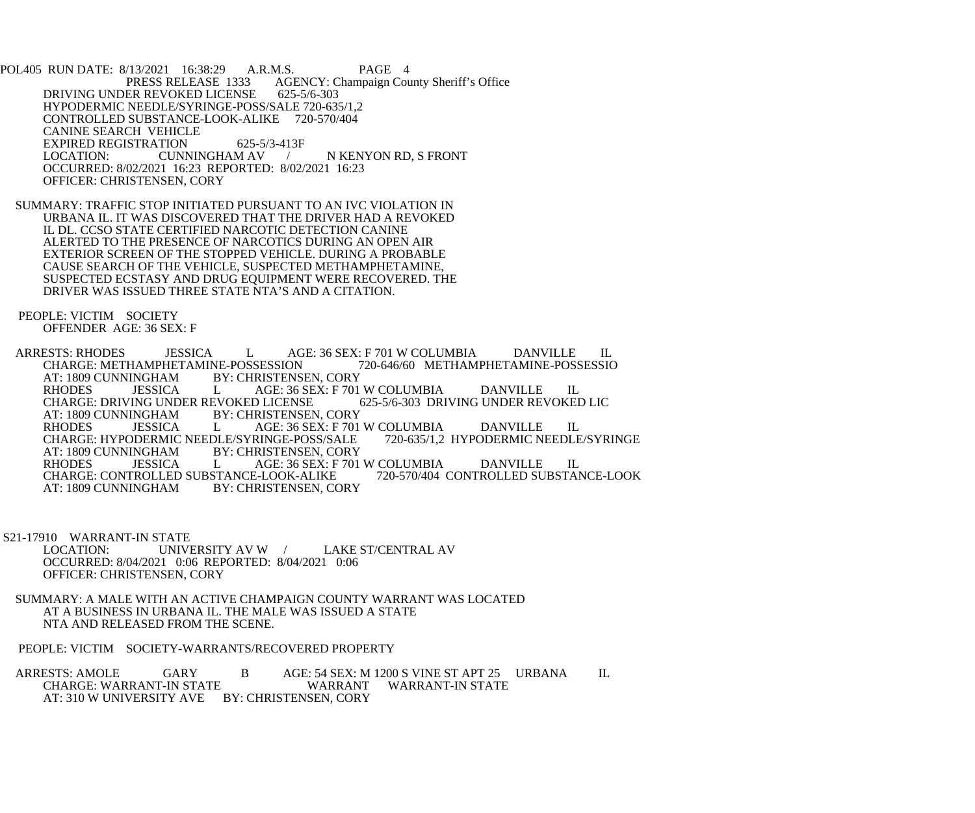POL405 RUN DATE: 8/13/2021 16:38:29 A.R.M.S. PAGE 4<br>PRESS RELEASE 1333 AGENCY: Champaign Cou AGENCY: Champaign County Sheriff's Office DRIVING UNDER REVOKED LICENSE 625-5/6-303 HYPODERMIC NEEDLE/SYRINGE-POSS/SALE 720-635/1,2 CONTROLLED SUBSTANCE-LOOK-ALIKE 720-570/404 CANINE SEARCH VEHICLE EXPIRED REGISTRATION 625-5/3-413F<br>LOCATION: CUNNINGHAM AV LOCATION: CUNNINGHAM AV / N KENYON RD, S FRONT OCCURRED: 8/02/2021 16:23 REPORTED: 8/02/2021 16:23 OFFICER: CHRISTENSEN, CORY

 SUMMARY: TRAFFIC STOP INITIATED PURSUANT TO AN IVC VIOLATION IN URBANA IL. IT WAS DISCOVERED THAT THE DRIVER HAD A REVOKED IL DL. CCSO STATE CERTIFIED NARCOTIC DETECTION CANINE ALERTED TO THE PRESENCE OF NARCOTICS DURING AN OPEN AIR EXTERIOR SCREEN OF THE STOPPED VEHICLE. DURING A PROBABLE CAUSE SEARCH OF THE VEHICLE, SUSPECTED METHAMPHETAMINE, SUSPECTED ECSTASY AND DRUG EQUIPMENT WERE RECOVERED. THE DRIVER WAS ISSUED THREE STATE NTA'S AND A CITATION.

 PEOPLE: VICTIM SOCIETY OFFENDER AGE: 36 SEX: F

ARRESTS: RHODES JESSICA L AGE: 36 SEX: F 701 W COLUMBIA DANVILLE IL<br>CHARGE: METHAMPHETAMINE-POSSESSION 720-646/60 METHAMPHETAMINE-POSSESSIO CHARGE: METHAMPHETAMINE-POSSESSION<br>AT: 1809 CUNNINGHAM BY: CHRISTENS INGHAM BY: CHRISTENSEN, CORY<br>JESSICA L AGE: 36 SEX: F 701 RHODES JESSICA L AGE: 36 SEX: F 701 W COLUMBIA DANVILLE IL CHARGE: DRIVING UNDER REVOKED LICENSE 625-5/6-303 DRIVING UNDER REVOKED LIC CHARGE: DRIVING UNDER REVOKED LICENSE<br>AT: 1809 CUNNINGHAM BY: CHRISTENSEN NGHAM BY: CHRISTENSEN, CORY<br>JESSICA L AGE: 36 SEX: F 701 RHODES JESSICA L AGE: 36 SEX: F 701 W COLUMBIA DANVILLE IL CHARGE: HYPODERMIC NEEDLE/SYRINGE-POSS/SALE 720-635/1,2 HYPODERMIC NEEDLE/SYRINGE CHARGE: HYPODERMIC NEEDLE/SYRINGE-POSS/SALE<br>AT: 1809 CUNNINGHAM BY: CHRISTENSEN, CORY AT: 1809 CUNNINGHAM BY: CHRISTENSEN, CORY<br>RHODES JESSICA L AGE: 36 SEX: F 701 L AGE: 36 SEX: F 701 W COLUMBIA DANVILLE IL<br>STANCE-LOOK-ALIKE 720-570/404 CONTROLLED SUBSTANCE-LOOK CHARGE: CONTROLLED SUBSTANCE-LOOK-ALIKE<br>AT: 1809 CUNNINGHAM BY: CHRISTENSEN. CO BY: CHRISTENSEN, CORY

S21-17910 WARRANT-IN STATE<br>LOCATION: UNIVE UNIVERSITY AV W / LAKE ST/CENTRAL AV OCCURRED: 8/04/2021 0:06 REPORTED: 8/04/2021 0:06 OFFICER: CHRISTENSEN, CORY

 SUMMARY: A MALE WITH AN ACTIVE CHAMPAIGN COUNTY WARRANT WAS LOCATED AT A BUSINESS IN URBANA IL. THE MALE WAS ISSUED A STATE NTA AND RELEASED FROM THE SCENE.

PEOPLE: VICTIM SOCIETY-WARRANTS/RECOVERED PROPERTY

ARRESTS: AMOLE GARY B AGE: 54 SEX: M 1200 S VINE ST APT 25 URBANA IL CHARGE: WARRANT-IN STATE WARRANT WARRANT-IN STATE AT: 310 W UNIVERSITY AVE BY: CHRISTENSEN, CORY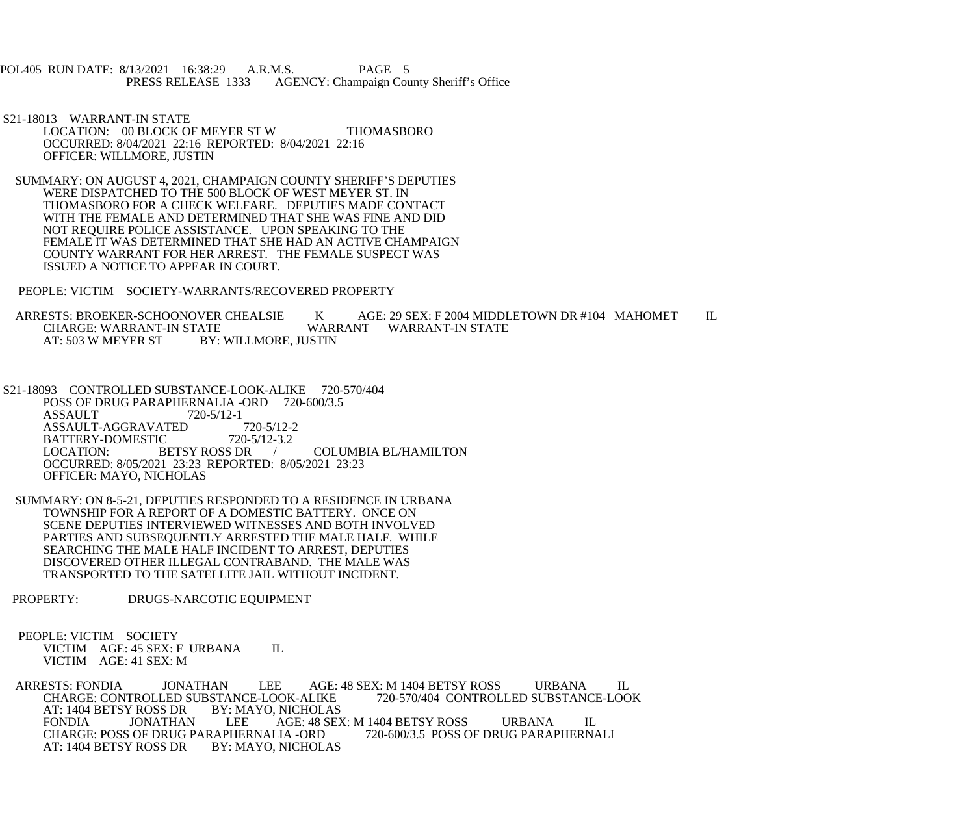POL405 RUN DATE: 8/13/2021 16:38:29 A.R.M.S. PAGE 5<br>PRESS RELEASE 1333 AGENCY: Champaign Cou AGENCY: Champaign County Sheriff's Office

 S21-18013 WARRANT-IN STATE LOCATION: 00 BLOCK OF MEYER ST W THOMASBORO OCCURRED: 8/04/2021 22:16 REPORTED: 8/04/2021 22:16 OFFICER: WILLMORE, JUSTIN

 SUMMARY: ON AUGUST 4, 2021, CHAMPAIGN COUNTY SHERIFF'S DEPUTIES WERE DISPATCHED TO THE 500 BLOCK OF WEST MEYER ST. IN THOMASBORO FOR A CHECK WELFARE. DEPUTIES MADE CONTACT WITH THE FEMALE AND DETERMINED THAT SHE WAS FINE AND DID NOT REQUIRE POLICE ASSISTANCE. UPON SPEAKING TO THE FEMALE IT WAS DETERMINED THAT SHE HAD AN ACTIVE CHAMPAIGN COUNTY WARRANT FOR HER ARREST. THE FEMALE SUSPECT WAS ISSUED A NOTICE TO APPEAR IN COURT.

PEOPLE: VICTIM SOCIETY-WARRANTS/RECOVERED PROPERTY

ARRESTS: BROEKER-SCHOONOVER CHEALSIE K AGE: 29 SEX: F 2004 MIDDLETOWN DR #104 MAHOMET IL<br>CHARGE: WARRANT-IN STATE WARRANT WARRANT-IN STATE CHARGE: WARRANT-IN STATE WARRANT WARRANT-IN STATE<br>AT: 503 W MEYER ST BY: WILLMORE. JUSTIN BY: WILLMORE, JUSTIN

 S21-18093 CONTROLLED SUBSTANCE-LOOK-ALIKE 720-570/404 POSS OF DRUG PARAPHERNALIA -ORD 720-600/3.5 ASSAULT 720-5/12-1<br>ASSAULT-AGGRAVATED 720-5/12-2 ASSAULT-AGGRAVATED 720-5/12-2<br>BATTERY-DOMESTIC 720-5/12-3.2 BATTERY-DOMESTIC 720-5<br>LOCATION: BETSY ROSS DR / COLUMBIA BL/HAMILTON OCCURRED: 8/05/2021 23:23 REPORTED: 8/05/2021 23:23 OFFICER: MAYO, NICHOLAS

 SUMMARY: ON 8-5-21, DEPUTIES RESPONDED TO A RESIDENCE IN URBANA TOWNSHIP FOR A REPORT OF A DOMESTIC BATTERY. ONCE ON SCENE DEPUTIES INTERVIEWED WITNESSES AND BOTH INVOLVED PARTIES AND SUBSEQUENTLY ARRESTED THE MALE HALF. WHILE SEARCHING THE MALE HALF INCIDENT TO ARREST, DEPUTIES DISCOVERED OTHER ILLEGAL CONTRABAND. THE MALE WAS TRANSPORTED TO THE SATELLITE JAIL WITHOUT INCIDENT.

PROPERTY: DRUGS-NARCOTIC EQUIPMENT

 PEOPLE: VICTIM SOCIETY VICTIM AGE: 45 SEX: F URBANA IL VICTIM AGE: 41 SEX: M

ARRESTS: FONDIA JONATHAN LEE AGE: 48 SEX: M 1404 BETSY ROSS URBANA IL<br>CHARGE: CONTROLLED SUBSTANCE-LOOK-ALIKE 720-570/404 CONTROLLED SUBSTANCE-LOOK CHARGE: CONTROLLED SUBSTANCE-LOOK-ALIKE<br>AT: 1404 BETSY ROSS DR BY: MAYO, NICHOLAS AT: 1404 BETSY ROSS DR BY: MARS PONDIA JONATHAN LEE AGE: 48 SEX: M 1404 BETSY ROSS URBANA IL<br>LIA -ORD 720-600/3.5 POSS OF DRUG PARAPHERNALI CHARGE: POSS OF DRUG PARAPHERNALIA -ORD AT: 1404 BETSY ROSS DR BY: MAYO, NICHOLAS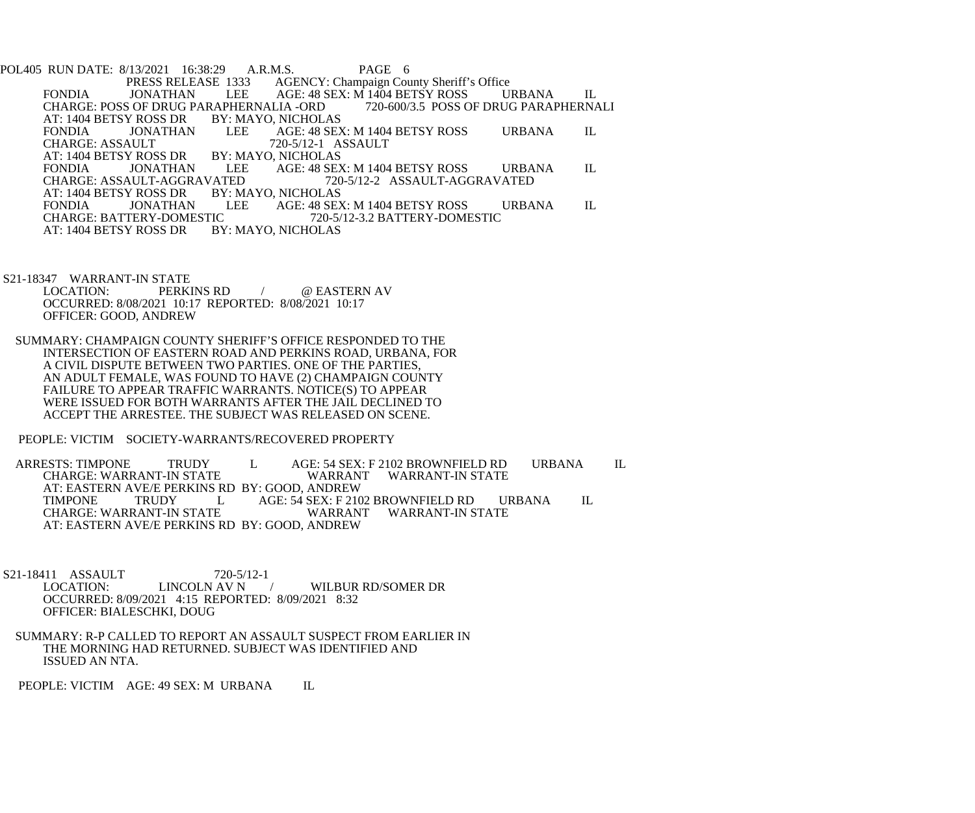POL405 RUN DATE: 8/13/2021 16:38:29 A.R.M.S. PAGE 6<br>PRESS RELEASE 1333 AGENCY: Champaign Cou 1333 AGENCY: Champaign County Sheriff's Office<br>LEE AGE: 48 SEX: M 1404 BETSY ROSS U FONDIA JONATHAN LEE AGE: 48 SEX: M 1404 BETSY ROSS URBANA IL<br>CHARGE: POSS OF DRUG PARAPHERNALIA -ORD 720-600/3.5 POSS OF DRUG PARAPHERNALI CHARGE: POSS OF DRUG PARAPHERNALIA -ORD<br>AT: 1404 BETSY ROSS DR BY: MAYO, NICHOLAS AT: 1404 BETSY ROSS DR BY: MARS BY: MARS BY: MARS BONDIA AGE: 48 SEX: M 1404 BETSY ROSS URBANA IL<br>720-5/12-1 ASSAULT CHARGE: ASSAULT 720-5/12-1 A<br>AT: 1404 BETSY ROSS DR BY: MAYO, NICHOLAS AT: 1404 BETSY ROSS DR BY: MARS PONDIA JONATHAN LEE FONDIA JONATHAN LEE AGE: 48 SEX: M 1404 BETSY ROSS URBANA IL CHARGE: ASSAULT-AGGRAVATED 720-5/12-2 ASSAULT-AGGRAVATED VATED 720-5/12-2 ASSAULT-AGGRAVATED<br>BY: MAYO. NICHOLAS AT: 1404 BETSY ROSS DR BY: MAYO, NICHOLAS FONDIA JONATHAN LEE AGE: 48 SEX: M 1404 BETSY ROSS URBANA IL CHARGE: BATTERY-DOMESTIC 720-5/12-3.2 BATTERY-DOMESTIC TC 720-5/12-3.2 BATTERY-DOMESTIC<br>BY: MAYO, NICHOLAS AT: 1404 BETSY ROSS DR

S21-18347 WARRANT-IN STATE<br>LOCATION: PERKINS RD @ EASTERN AV OCCURRED: 8/08/2021 10:17 REPORTED: 8/08/2021 10:17 OFFICER: GOOD, ANDREW

 SUMMARY: CHAMPAIGN COUNTY SHERIFF'S OFFICE RESPONDED TO THE INTERSECTION OF EASTERN ROAD AND PERKINS ROAD, URBANA, FOR A CIVIL DISPUTE BETWEEN TWO PARTIES. ONE OF THE PARTIES, AN ADULT FEMALE, WAS FOUND TO HAVE (2) CHAMPAIGN COUNTY FAILURE TO APPEAR TRAFFIC WARRANTS. NOTICE(S) TO APPEAR WERE ISSUED FOR BOTH WARRANTS AFTER THE JAIL DECLINED TO ACCEPT THE ARRESTEE. THE SUBJECT WAS RELEASED ON SCENE.

PEOPLE: VICTIM SOCIETY-WARRANTS/RECOVERED PROPERTY

ARRESTS: TIMPONE TRUDY LAGE: 54 SEX: F 2102 BROWNFIELD RD URBANA IL<br>CHARGE: WARRANT-IN STATE WARRANT WARRANT-IN STATE CHARGE: WARRANT-IN STATE WARRANT WARRANT-IN STATE AT: EASTERN AVE/E PERKINS RD BY: GOOD, ANDREW TIMPONE TRUDY L AGE: 54 SEX: F 2102 BROWNFIELD RD URBANA IL CHARGE: WARRANT-IN STATE CHARGE: WARRANT-IN STATE AT: EASTERN AVE/E PERKINS RD BY: GOOD, ANDREW

S21-18411 ASSAULT 720-5/12-1<br>LOCATION: LINCOLN AV N / WILBUR RD/SOMER DR OCCURRED: 8/09/2021 4:15 REPORTED: 8/09/2021 8:32 OFFICER: BIALESCHKI, DOUG

 SUMMARY: R-P CALLED TO REPORT AN ASSAULT SUSPECT FROM EARLIER IN THE MORNING HAD RETURNED. SUBJECT WAS IDENTIFIED AND ISSUED AN NTA.

PEOPLE: VICTIM AGE: 49 SEX: M URBANA IL